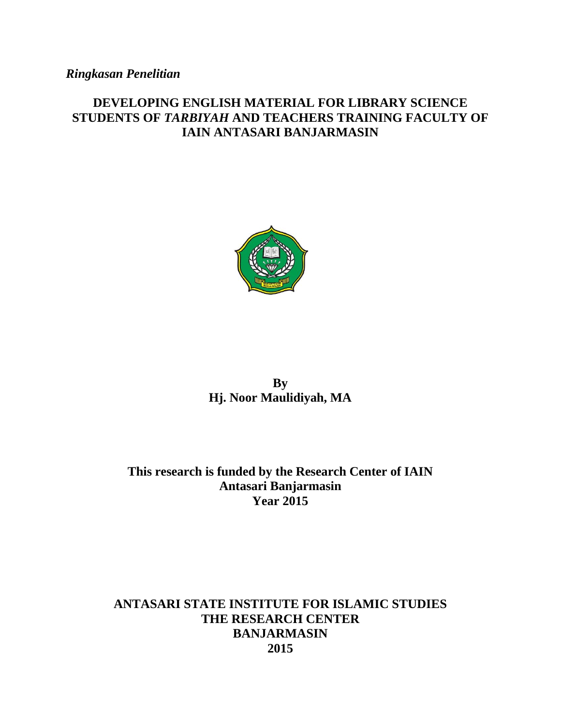# *Ringkasan Penelitian*

## **DEVELOPING ENGLISH MATERIAL FOR LIBRARY SCIENCE STUDENTS OF** *TARBIYAH* **AND TEACHERS TRAINING FACULTY OF IAIN ANTASARI BANJARMASIN**



**By Hj. Noor Maulidiyah, MA**

## **This research is funded by the Research Center of IAIN Antasari Banjarmasin Year 2015**

## **ANTASARI STATE INSTITUTE FOR ISLAMIC STUDIES THE RESEARCH CENTER BANJARMASIN 2015**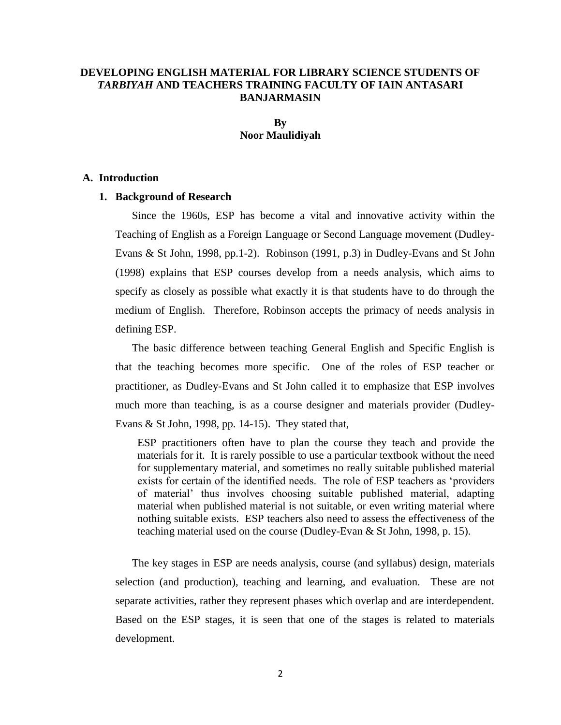## **DEVELOPING ENGLISH MATERIAL FOR LIBRARY SCIENCE STUDENTS OF**  *TARBIYAH* **AND TEACHERS TRAINING FACULTY OF IAIN ANTASARI BANJARMASIN**

## **By Noor Maulidiyah**

#### **A. Introduction**

## **1. Background of Research**

Since the 1960s, ESP has become a vital and innovative activity within the Teaching of English as a Foreign Language or Second Language movement (Dudley-Evans & St John, 1998, pp.1-2). Robinson (1991, p.3) in Dudley-Evans and St John (1998) explains that ESP courses develop from a needs analysis, which aims to specify as closely as possible what exactly it is that students have to do through the medium of English. Therefore, Robinson accepts the primacy of needs analysis in defining ESP.

The basic difference between teaching General English and Specific English is that the teaching becomes more specific. One of the roles of ESP teacher or practitioner, as Dudley-Evans and St John called it to emphasize that ESP involves much more than teaching, is as a course designer and materials provider (Dudley-Evans & St John, 1998, pp. 14-15). They stated that,

ESP practitioners often have to plan the course they teach and provide the materials for it. It is rarely possible to use a particular textbook without the need for supplementary material, and sometimes no really suitable published material exists for certain of the identified needs. The role of ESP teachers as "providers of material" thus involves choosing suitable published material, adapting material when published material is not suitable, or even writing material where nothing suitable exists. ESP teachers also need to assess the effectiveness of the teaching material used on the course (Dudley-Evan & St John, 1998, p. 15).

The key stages in ESP are needs analysis, course (and syllabus) design, materials selection (and production), teaching and learning, and evaluation. These are not separate activities, rather they represent phases which overlap and are interdependent. Based on the ESP stages, it is seen that one of the stages is related to materials development.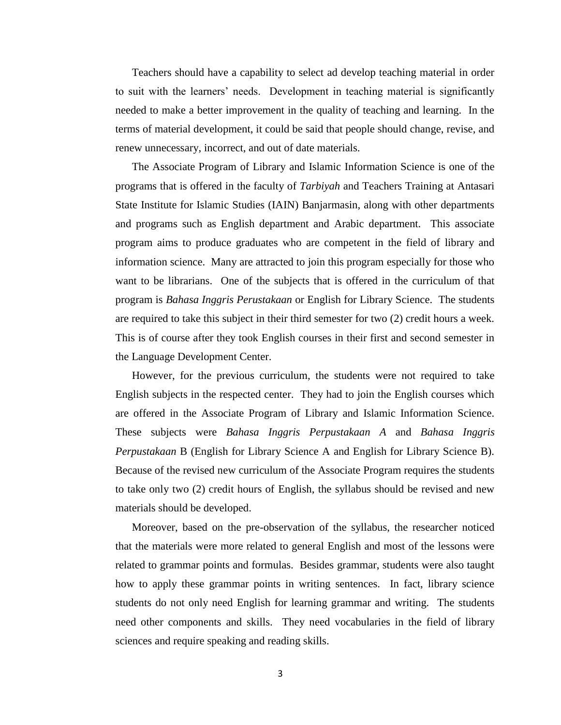Teachers should have a capability to select ad develop teaching material in order to suit with the learners" needs. Development in teaching material is significantly needed to make a better improvement in the quality of teaching and learning. In the terms of material development, it could be said that people should change, revise, and renew unnecessary, incorrect, and out of date materials.

The Associate Program of Library and Islamic Information Science is one of the programs that is offered in the faculty of *Tarbiyah* and Teachers Training at Antasari State Institute for Islamic Studies (IAIN) Banjarmasin, along with other departments and programs such as English department and Arabic department. This associate program aims to produce graduates who are competent in the field of library and information science. Many are attracted to join this program especially for those who want to be librarians. One of the subjects that is offered in the curriculum of that program is *Bahasa Inggris Perustakaan* or English for Library Science. The students are required to take this subject in their third semester for two (2) credit hours a week. This is of course after they took English courses in their first and second semester in the Language Development Center.

However, for the previous curriculum, the students were not required to take English subjects in the respected center. They had to join the English courses which are offered in the Associate Program of Library and Islamic Information Science. These subjects were *Bahasa Inggris Perpustakaan A* and *Bahasa Inggris Perpustakaan* B (English for Library Science A and English for Library Science B). Because of the revised new curriculum of the Associate Program requires the students to take only two (2) credit hours of English, the syllabus should be revised and new materials should be developed.

Moreover, based on the pre-observation of the syllabus, the researcher noticed that the materials were more related to general English and most of the lessons were related to grammar points and formulas. Besides grammar, students were also taught how to apply these grammar points in writing sentences. In fact, library science students do not only need English for learning grammar and writing. The students need other components and skills. They need vocabularies in the field of library sciences and require speaking and reading skills.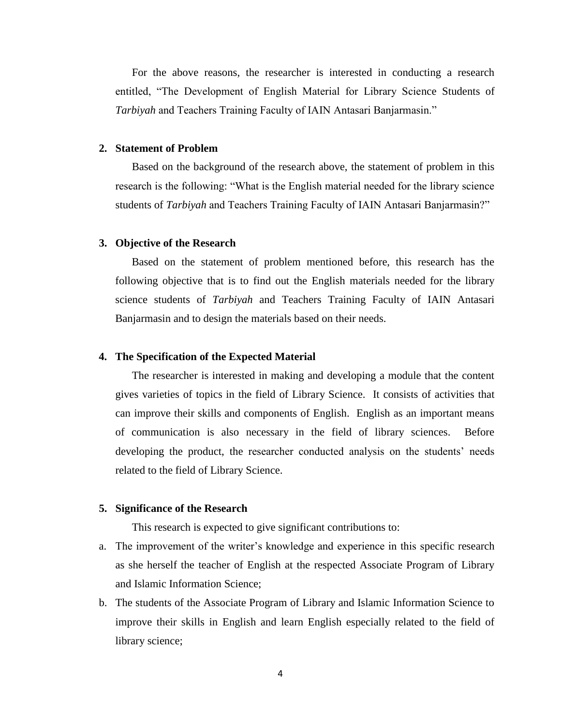For the above reasons, the researcher is interested in conducting a research entitled, "The Development of English Material for Library Science Students of *Tarbiyah* and Teachers Training Faculty of IAIN Antasari Banjarmasin."

#### **2. Statement of Problem**

Based on the background of the research above, the statement of problem in this research is the following: "What is the English material needed for the library science students of *Tarbiyah* and Teachers Training Faculty of IAIN Antasari Banjarmasin?"

#### **3. Objective of the Research**

Based on the statement of problem mentioned before, this research has the following objective that is to find out the English materials needed for the library science students of *Tarbiyah* and Teachers Training Faculty of IAIN Antasari Banjarmasin and to design the materials based on their needs.

## **4. The Specification of the Expected Material**

The researcher is interested in making and developing a module that the content gives varieties of topics in the field of Library Science. It consists of activities that can improve their skills and components of English. English as an important means of communication is also necessary in the field of library sciences. Before developing the product, the researcher conducted analysis on the students' needs related to the field of Library Science.

#### **5. Significance of the Research**

This research is expected to give significant contributions to:

- a. The improvement of the writer"s knowledge and experience in this specific research as she herself the teacher of English at the respected Associate Program of Library and Islamic Information Science;
- b. The students of the Associate Program of Library and Islamic Information Science to improve their skills in English and learn English especially related to the field of library science;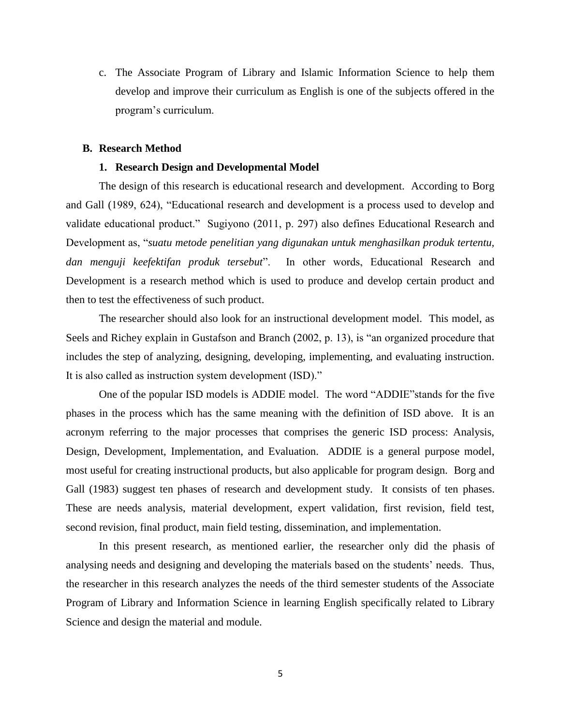c. The Associate Program of Library and Islamic Information Science to help them develop and improve their curriculum as English is one of the subjects offered in the program"s curriculum.

#### **B. Research Method**

#### **1. Research Design and Developmental Model**

The design of this research is educational research and development. According to Borg and Gall (1989, 624), "Educational research and development is a process used to develop and validate educational product." Sugiyono (2011, p. 297) also defines Educational Research and Development as, "*suatu metode penelitian yang digunakan untuk menghasilkan produk tertentu, dan menguji keefektifan produk tersebut*". In other words, Educational Research and Development is a research method which is used to produce and develop certain product and then to test the effectiveness of such product.

The researcher should also look for an instructional development model. This model, as Seels and Richey explain in Gustafson and Branch (2002, p. 13), is "an organized procedure that includes the step of analyzing, designing, developing, implementing, and evaluating instruction. It is also called as instruction system development (ISD)."

One of the popular ISD models is ADDIE model. The word "ADDIE"stands for the five phases in the process which has the same meaning with the definition of ISD above. It is an acronym referring to the major processes that comprises the generic ISD process: Analysis, Design, Development, Implementation, and Evaluation. ADDIE is a general purpose model, most useful for creating instructional products, but also applicable for program design. Borg and Gall (1983) suggest ten phases of research and development study. It consists of ten phases. These are needs analysis, material development, expert validation, first revision, field test, second revision, final product, main field testing, dissemination, and implementation.

In this present research, as mentioned earlier, the researcher only did the phasis of analysing needs and designing and developing the materials based on the students' needs. Thus, the researcher in this research analyzes the needs of the third semester students of the Associate Program of Library and Information Science in learning English specifically related to Library Science and design the material and module.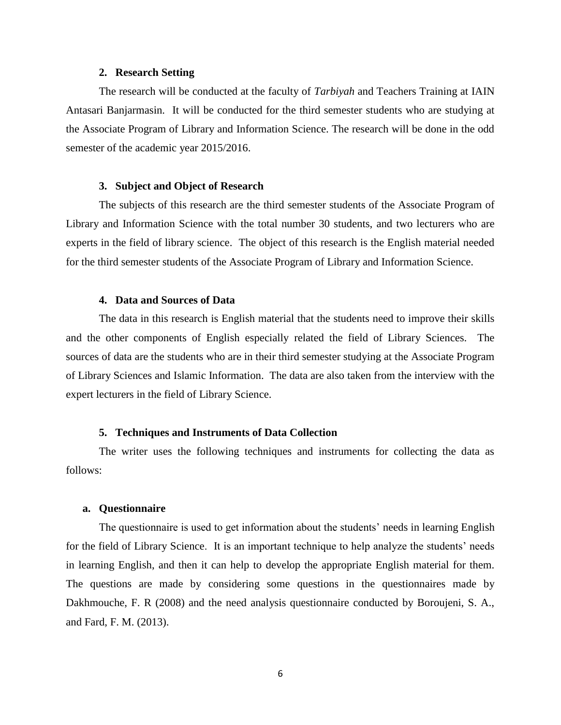#### **2. Research Setting**

The research will be conducted at the faculty of *Tarbiyah* and Teachers Training at IAIN Antasari Banjarmasin. It will be conducted for the third semester students who are studying at the Associate Program of Library and Information Science. The research will be done in the odd semester of the academic year 2015/2016.

### **3. Subject and Object of Research**

The subjects of this research are the third semester students of the Associate Program of Library and Information Science with the total number 30 students, and two lecturers who are experts in the field of library science. The object of this research is the English material needed for the third semester students of the Associate Program of Library and Information Science.

#### **4. Data and Sources of Data**

The data in this research is English material that the students need to improve their skills and the other components of English especially related the field of Library Sciences. The sources of data are the students who are in their third semester studying at the Associate Program of Library Sciences and Islamic Information. The data are also taken from the interview with the expert lecturers in the field of Library Science.

#### **5. Techniques and Instruments of Data Collection**

The writer uses the following techniques and instruments for collecting the data as follows:

#### **a. Questionnaire**

The questionnaire is used to get information about the students' needs in learning English for the field of Library Science. It is an important technique to help analyze the students" needs in learning English, and then it can help to develop the appropriate English material for them. The questions are made by considering some questions in the questionnaires made by Dakhmouche, F. R (2008) and the need analysis questionnaire conducted by Boroujeni, S. A., and Fard, F. M. (2013).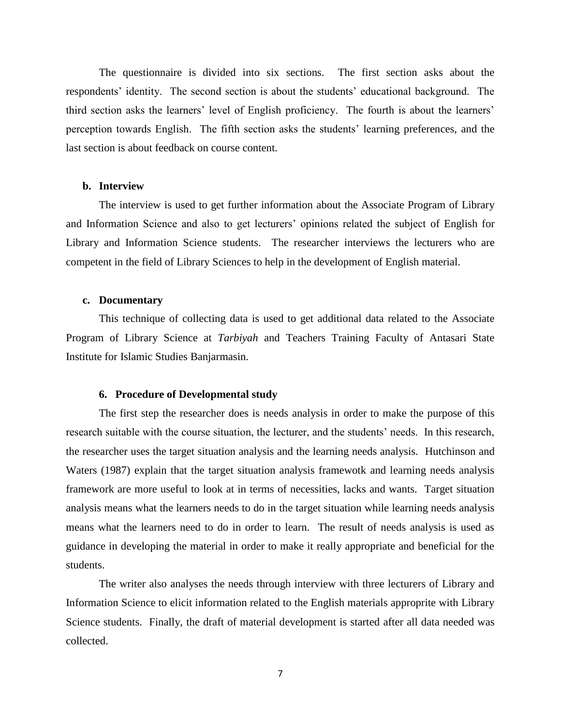The questionnaire is divided into six sections. The first section asks about the respondents" identity. The second section is about the students" educational background. The third section asks the learners' level of English proficiency. The fourth is about the learners' perception towards English. The fifth section asks the students" learning preferences, and the last section is about feedback on course content.

#### **b. Interview**

The interview is used to get further information about the Associate Program of Library and Information Science and also to get lecturers" opinions related the subject of English for Library and Information Science students. The researcher interviews the lecturers who are competent in the field of Library Sciences to help in the development of English material.

#### **c. Documentary**

This technique of collecting data is used to get additional data related to the Associate Program of Library Science at *Tarbiyah* and Teachers Training Faculty of Antasari State Institute for Islamic Studies Banjarmasin.

#### **6. Procedure of Developmental study**

The first step the researcher does is needs analysis in order to make the purpose of this research suitable with the course situation, the lecturer, and the students' needs. In this research, the researcher uses the target situation analysis and the learning needs analysis. Hutchinson and Waters (1987) explain that the target situation analysis framewotk and learning needs analysis framework are more useful to look at in terms of necessities, lacks and wants. Target situation analysis means what the learners needs to do in the target situation while learning needs analysis means what the learners need to do in order to learn. The result of needs analysis is used as guidance in developing the material in order to make it really appropriate and beneficial for the students.

The writer also analyses the needs through interview with three lecturers of Library and Information Science to elicit information related to the English materials approprite with Library Science students. Finally, the draft of material development is started after all data needed was collected.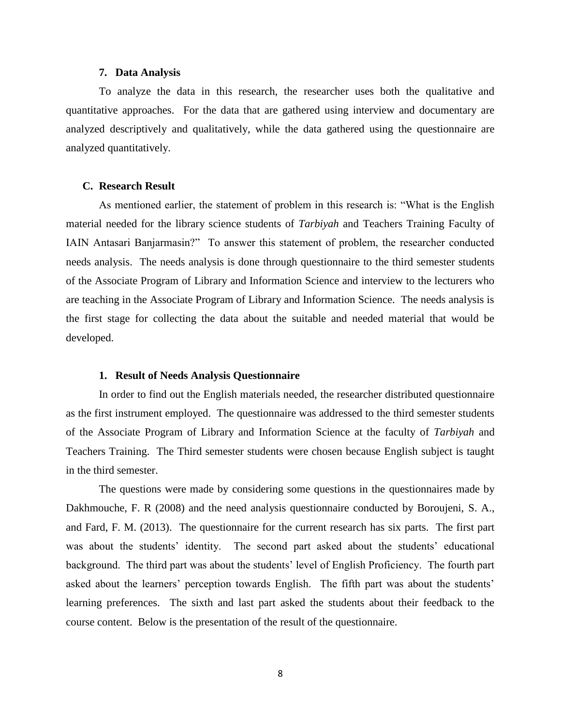#### **7. Data Analysis**

To analyze the data in this research, the researcher uses both the qualitative and quantitative approaches. For the data that are gathered using interview and documentary are analyzed descriptively and qualitatively, while the data gathered using the questionnaire are analyzed quantitatively.

#### **C. Research Result**

As mentioned earlier, the statement of problem in this research is: "What is the English material needed for the library science students of *Tarbiyah* and Teachers Training Faculty of IAIN Antasari Banjarmasin?" To answer this statement of problem, the researcher conducted needs analysis. The needs analysis is done through questionnaire to the third semester students of the Associate Program of Library and Information Science and interview to the lecturers who are teaching in the Associate Program of Library and Information Science. The needs analysis is the first stage for collecting the data about the suitable and needed material that would be developed.

#### **1. Result of Needs Analysis Questionnaire**

In order to find out the English materials needed, the researcher distributed questionnaire as the first instrument employed. The questionnaire was addressed to the third semester students of the Associate Program of Library and Information Science at the faculty of *Tarbiyah* and Teachers Training. The Third semester students were chosen because English subject is taught in the third semester.

The questions were made by considering some questions in the questionnaires made by Dakhmouche, F. R (2008) and the need analysis questionnaire conducted by Boroujeni, S. A., and Fard, F. M. (2013). The questionnaire for the current research has six parts. The first part was about the students' identity. The second part asked about the students' educational background. The third part was about the students" level of English Proficiency. The fourth part asked about the learners' perception towards English. The fifth part was about the students' learning preferences. The sixth and last part asked the students about their feedback to the course content. Below is the presentation of the result of the questionnaire.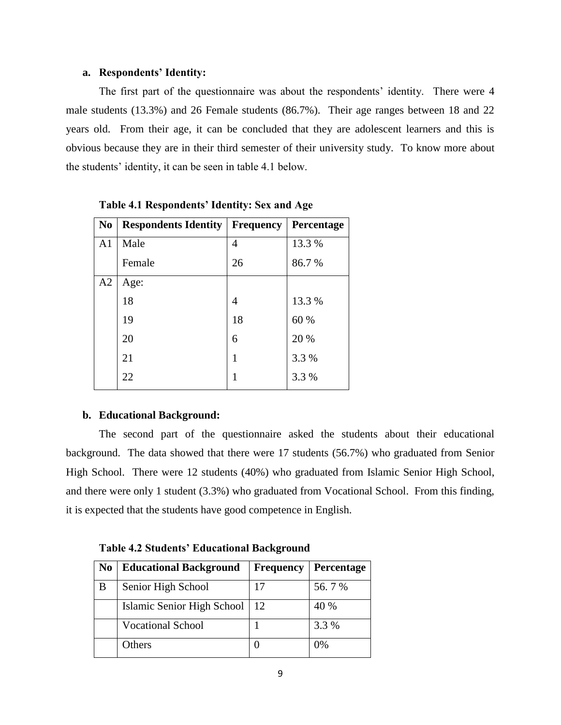## **a. Respondents' Identity:**

The first part of the questionnaire was about the respondents' identity. There were 4 male students (13.3%) and 26 Female students (86.7%). Their age ranges between 18 and 22 years old. From their age, it can be concluded that they are adolescent learners and this is obvious because they are in their third semester of their university study. To know more about the students" identity, it can be seen in table 4.1 below.

| <b>No</b>      | <b>Respondents Identity</b> | <b>Frequency</b> | Percentage |
|----------------|-----------------------------|------------------|------------|
| A <sub>1</sub> | Male                        | 4                | 13.3 %     |
|                | Female                      | 26               | 86.7%      |
| A2             | Age:                        |                  |            |
|                | 18                          | 4                | 13.3 %     |
|                | 19                          | 18               | 60 %       |
|                | 20                          | 6                | 20 %       |
|                | 21                          | 1                | 3.3 %      |
|                | 22                          | 1                | 3.3 %      |

**Table 4.1 Respondents' Identity: Sex and Age** 

## **b. Educational Background:**

The second part of the questionnaire asked the students about their educational background. The data showed that there were 17 students (56.7%) who graduated from Senior High School. There were 12 students (40%) who graduated from Islamic Senior High School, and there were only 1 student (3.3%) who graduated from Vocational School. From this finding, it is expected that the students have good competence in English.

| N <sub>0</sub> | <b>Educational Background</b> | <b>Frequency</b> | Percentage |
|----------------|-------------------------------|------------------|------------|
| B              | Senior High School            | 17               | 56.7%      |
|                | Islamic Senior High School    | 12               | 40 %       |
|                | <b>Vocational School</b>      |                  | 3.3 %      |
|                | Others                        |                  | 0%         |

**Table 4.2 Students' Educational Background**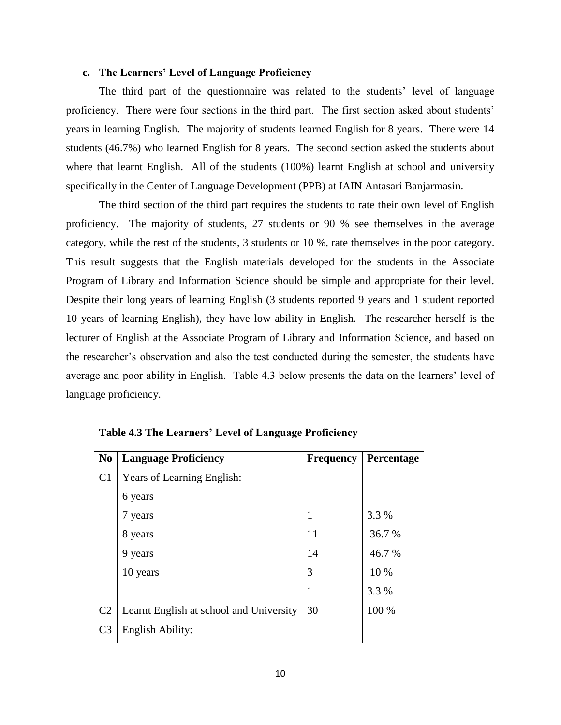## **c. The Learners' Level of Language Proficiency**

The third part of the questionnaire was related to the students" level of language proficiency. There were four sections in the third part. The first section asked about students' years in learning English. The majority of students learned English for 8 years. There were 14 students (46.7%) who learned English for 8 years. The second section asked the students about where that learnt English. All of the students (100%) learnt English at school and university specifically in the Center of Language Development (PPB) at IAIN Antasari Banjarmasin.

The third section of the third part requires the students to rate their own level of English proficiency. The majority of students, 27 students or 90 % see themselves in the average category, while the rest of the students, 3 students or 10 %, rate themselves in the poor category. This result suggests that the English materials developed for the students in the Associate Program of Library and Information Science should be simple and appropriate for their level. Despite their long years of learning English (3 students reported 9 years and 1 student reported 10 years of learning English), they have low ability in English. The researcher herself is the lecturer of English at the Associate Program of Library and Information Science, and based on the researcher"s observation and also the test conducted during the semester, the students have average and poor ability in English. Table 4.3 below presents the data on the learners' level of language proficiency.

| N <sub>0</sub> | <b>Language Proficiency</b>             | <b>Frequency</b> | Percentage |
|----------------|-----------------------------------------|------------------|------------|
| C <sub>1</sub> | Years of Learning English:              |                  |            |
|                | 6 years                                 |                  |            |
|                | 7 years                                 | 1                | 3.3 %      |
|                | 8 years                                 | 11               | 36.7%      |
|                | 9 years                                 | 14               | 46.7%      |
|                | 10 years                                | 3                | 10 %       |
|                |                                         | $\mathbf{1}$     | 3.3 %      |
| C <sub>2</sub> | Learnt English at school and University | 30               | 100 %      |
| C <sub>3</sub> | English Ability:                        |                  |            |

**Table 4.3 The Learners' Level of Language Proficiency**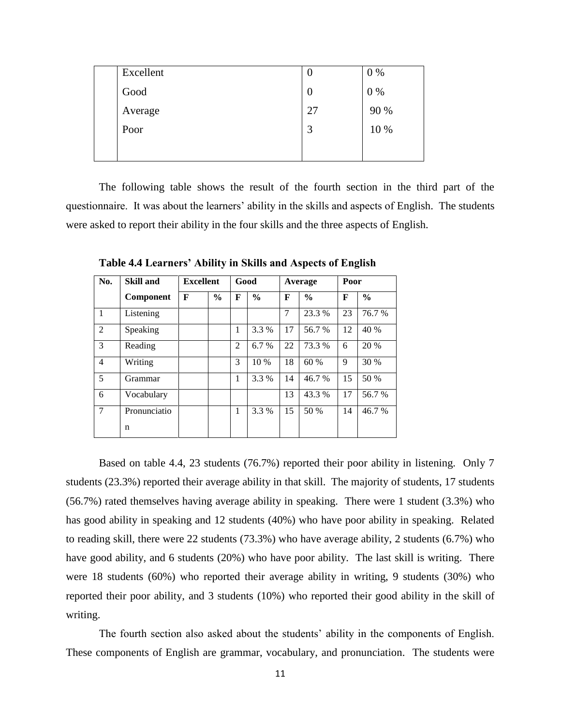| Excellent | U                | $0\%$ |
|-----------|------------------|-------|
| Good      | $\boldsymbol{0}$ | $0\%$ |
| Average   | 27               | 90 %  |
| Poor      | 3                | 10 %  |
|           |                  |       |

The following table shows the result of the fourth section in the third part of the questionnaire. It was about the learners' ability in the skills and aspects of English. The students were asked to report their ability in the four skills and the three aspects of English.

| No.            | <b>Skill and</b> | <b>Excellent</b> |               | Good           |               |    | Average       | Poor |               |
|----------------|------------------|------------------|---------------|----------------|---------------|----|---------------|------|---------------|
|                | Component        | F                | $\frac{0}{0}$ | F              | $\frac{0}{0}$ | F  | $\frac{0}{0}$ | F    | $\frac{0}{0}$ |
| 1              | Listening        |                  |               |                |               | 7  | 23.3 %        | 23   | 76.7 %        |
| 2              | Speaking         |                  |               | 1              | 3.3 %         | 17 | 56.7 %        | 12   | 40 %          |
| 3              | Reading          |                  |               | $\overline{2}$ | 6.7%          | 22 | 73.3 %        | 6    | 20 %          |
| $\overline{4}$ | Writing          |                  |               | 3              | 10 %          | 18 | 60 %          | 9    | 30 %          |
| 5              | Grammar          |                  |               | 1              | 3.3 %         | 14 | 46.7%         | 15   | 50 %          |
| 6              | Vocabulary       |                  |               |                |               | 13 | 43.3%         | 17   | 56.7 %        |
| $\tau$         | Pronunciatio     |                  |               | 1              | 3.3 %         | 15 | 50 %          | 14   | 46.7%         |
|                | n                |                  |               |                |               |    |               |      |               |

**Table 4.4 Learners' Ability in Skills and Aspects of English**

Based on table 4.4, 23 students (76.7%) reported their poor ability in listening. Only 7 students (23.3%) reported their average ability in that skill. The majority of students, 17 students (56.7%) rated themselves having average ability in speaking. There were 1 student (3.3%) who has good ability in speaking and 12 students (40%) who have poor ability in speaking. Related to reading skill, there were 22 students (73.3%) who have average ability, 2 students (6.7%) who have good ability, and 6 students (20%) who have poor ability. The last skill is writing. There were 18 students (60%) who reported their average ability in writing, 9 students (30%) who reported their poor ability, and 3 students (10%) who reported their good ability in the skill of writing.

The fourth section also asked about the students' ability in the components of English. These components of English are grammar, vocabulary, and pronunciation. The students were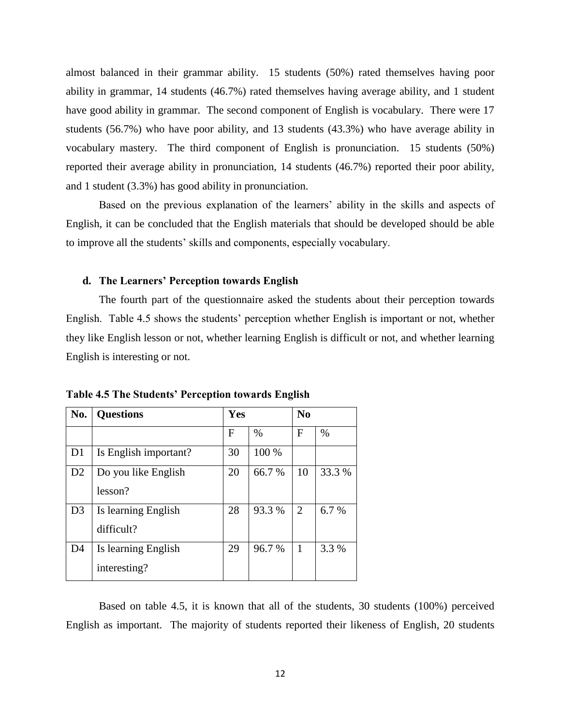almost balanced in their grammar ability. 15 students (50%) rated themselves having poor ability in grammar, 14 students (46.7%) rated themselves having average ability, and 1 student have good ability in grammar. The second component of English is vocabulary. There were 17 students (56.7%) who have poor ability, and 13 students (43.3%) who have average ability in vocabulary mastery. The third component of English is pronunciation. 15 students (50%) reported their average ability in pronunciation, 14 students (46.7%) reported their poor ability, and 1 student (3.3%) has good ability in pronunciation.

Based on the previous explanation of the learners' ability in the skills and aspects of English, it can be concluded that the English materials that should be developed should be able to improve all the students" skills and components, especially vocabulary.

#### **d. The Learners' Perception towards English**

The fourth part of the questionnaire asked the students about their perception towards English. Table 4.5 shows the students' perception whether English is important or not, whether they like English lesson or not, whether learning English is difficult or not, and whether learning English is interesting or not.

| No.            | <b>Questions</b>      | Yes |        | N <sub>0</sub> |        |
|----------------|-----------------------|-----|--------|----------------|--------|
|                |                       | F   | $\%$   | F              | $\%$   |
| D <sub>1</sub> | Is English important? | 30  | 100 %  |                |        |
| D <sub>2</sub> | Do you like English   | 20  | 66.7 % | 10             | 33.3 % |
|                | lesson?               |     |        |                |        |
| D <sub>3</sub> | Is learning English   | 28  | 93.3 % | 2              | 6.7 %  |
|                | difficult?            |     |        |                |        |
| D <sub>4</sub> | Is learning English   | 29  | 96.7%  | $\mathbf{1}$   | 3.3 %  |
|                | interesting?          |     |        |                |        |

**Table 4.5 The Students' Perception towards English**

Based on table 4.5, it is known that all of the students, 30 students (100%) perceived English as important. The majority of students reported their likeness of English, 20 students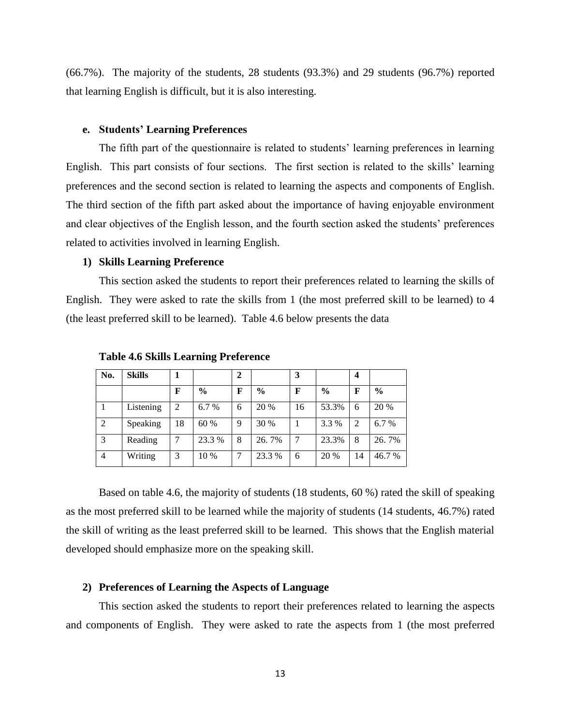(66.7%). The majority of the students, 28 students (93.3%) and 29 students (96.7%) reported that learning English is difficult, but it is also interesting.

#### **e. Students' Learning Preferences**

The fifth part of the questionnaire is related to students' learning preferences in learning English. This part consists of four sections. The first section is related to the skills" learning preferences and the second section is related to learning the aspects and components of English. The third section of the fifth part asked about the importance of having enjoyable environment and clear objectives of the English lesson, and the fourth section asked the students' preferences related to activities involved in learning English.

## **1) Skills Learning Preference**

This section asked the students to report their preferences related to learning the skills of English. They were asked to rate the skills from 1 (the most preferred skill to be learned) to 4 (the least preferred skill to be learned). Table 4.6 below presents the data

| No.            | <b>Skills</b> |    |               | $\mathbf{2}$ |               | 3  |               | 4              |               |
|----------------|---------------|----|---------------|--------------|---------------|----|---------------|----------------|---------------|
|                |               | F  | $\frac{0}{0}$ | $\mathbf F$  | $\frac{0}{0}$ | F  | $\frac{0}{0}$ | F              | $\frac{0}{0}$ |
|                | Listening     | 2  | 6.7 %         | 6            | 20 %          | 16 | 53.3%         | 6              | 20 %          |
| 2              | Speaking      | 18 | 60 %          | 9            | 30 %          |    | 3.3 %         | $\overline{2}$ | 6.7%          |
| 3              | Reading       |    | 23.3 %        | 8            | 26.7%         |    | 23.3%         | 8              | 26.7%         |
| $\overline{4}$ | Writing       | 3  | 10 %          |              | 23.3 %        | 6  | 20 %          | 14             | 46.7 %        |

**Table 4.6 Skills Learning Preference**

Based on table 4.6, the majority of students (18 students, 60 %) rated the skill of speaking as the most preferred skill to be learned while the majority of students (14 students, 46.7%) rated the skill of writing as the least preferred skill to be learned. This shows that the English material developed should emphasize more on the speaking skill.

#### **2) Preferences of Learning the Aspects of Language**

This section asked the students to report their preferences related to learning the aspects and components of English. They were asked to rate the aspects from 1 (the most preferred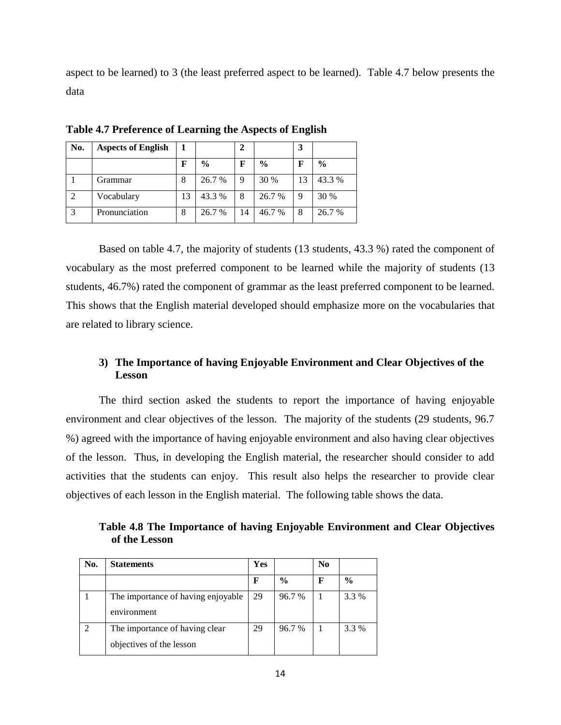aspect to be learned) to 3 (the least preferred aspect to be learned). Table 4.7 below presents the data

| No.            | <b>Aspects of English</b> |    |               | 2  |               | 3  |               |
|----------------|---------------------------|----|---------------|----|---------------|----|---------------|
|                |                           | F  | $\frac{0}{0}$ | F  | $\frac{6}{9}$ | F  | $\frac{0}{0}$ |
|                | Grammar                   | 8  | 26.7 %        | 9  | 30 %          | 13 | 43.3 %        |
| $\mathfrak{D}$ | Vocabulary                | 13 | 43.3 %        | 8  | 26.7 %        | 9  | 30 %          |
| 3              | Pronunciation             | 8  | 26.7 %        | 14 | 46.7 %        | 8  | 26.7 %        |

**Table 4.7 Preference of Learning the Aspects of English**

Based on table 4.7, the majority of students (13 students, 43.3 %) rated the component of vocabulary as the most preferred component to be learned while the majority of students (13 students, 46.7%) rated the component of grammar as the least preferred component to be learned. This shows that the English material developed should emphasize more on the vocabularies that are related to library science.

## **3) The Importance of having Enjoyable Environment and Clear Objectives of the Lesson**

The third section asked the students to report the importance of having enjoyable environment and clear objectives of the lesson. The majority of the students (29 students, 96.7 %) agreed with the importance of having enjoyable environment and also having clear objectives of the lesson. Thus, in developing the English material, the researcher should consider to add activities that the students can enjoy. This result also helps the researcher to provide clear objectives of each lesson in the English material. The following table shows the data.

**Table 4.8 The Importance of having Enjoyable Environment and Clear Objectives of the Lesson**

| No. | <b>Statements</b>                                          | Yes |               | No |               |
|-----|------------------------------------------------------------|-----|---------------|----|---------------|
|     |                                                            | F   | $\frac{6}{9}$ | F  | $\frac{0}{0}$ |
|     | The importance of having enjoyable<br>environment          | 29  | 96.7%         |    | 3.3 %         |
|     | The importance of having clear<br>objectives of the lesson | 29  | 96.7%         |    | 3.3 %         |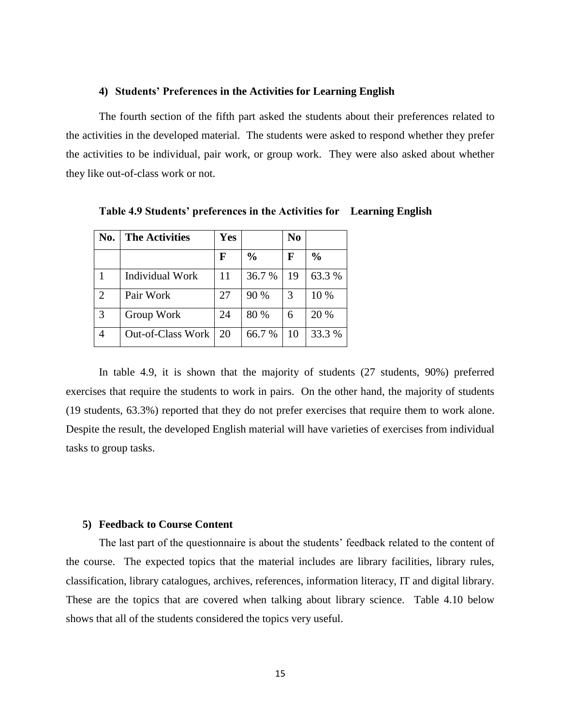#### **4) Students' Preferences in the Activities for Learning English**

The fourth section of the fifth part asked the students about their preferences related to the activities in the developed material. The students were asked to respond whether they prefer the activities to be individual, pair work, or group work. They were also asked about whether they like out-of-class work or not.

| No.            | <b>The Activities</b>    | Yes |               | N <sub>0</sub> |               |
|----------------|--------------------------|-----|---------------|----------------|---------------|
|                |                          | F   | $\frac{0}{0}$ | F              | $\frac{0}{0}$ |
|                | <b>Individual Work</b>   | 11  | 36.7 %        | 19             | 63.3 %        |
| $\overline{2}$ | Pair Work                | 27  | 90 %          | 3              | 10 %          |
| 3              | Group Work               | 24  | 80 %          | 6              | 20 %          |
|                | <b>Out-of-Class Work</b> | 20  | 66.7 %        | 10             | 33.3 %        |

**Table 4.9 Students' preferences in the Activities for Learning English** 

In table 4.9, it is shown that the majority of students (27 students, 90%) preferred exercises that require the students to work in pairs. On the other hand, the majority of students (19 students, 63.3%) reported that they do not prefer exercises that require them to work alone. Despite the result, the developed English material will have varieties of exercises from individual tasks to group tasks.

#### **5) Feedback to Course Content**

The last part of the questionnaire is about the students' feedback related to the content of the course. The expected topics that the material includes are library facilities, library rules, classification, library catalogues, archives, references, information literacy, IT and digital library. These are the topics that are covered when talking about library science. Table 4.10 below shows that all of the students considered the topics very useful.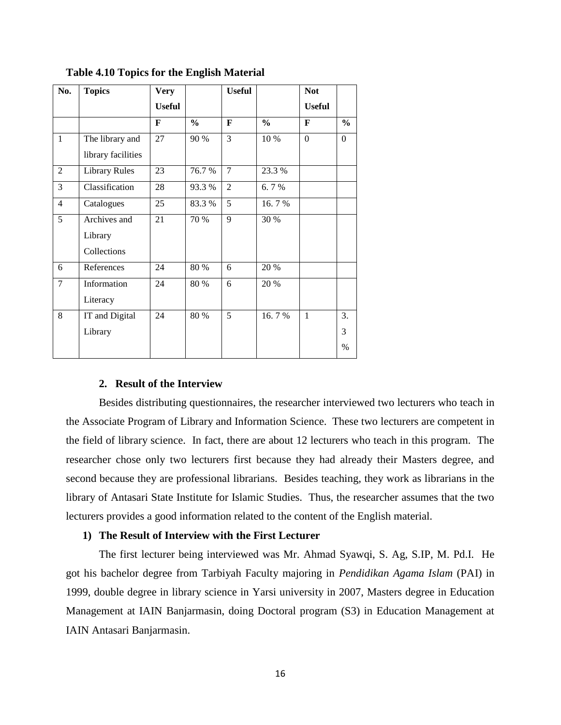| No.            | <b>Topics</b>        | <b>Very</b>   |               | <b>Useful</b>  |               | <b>Not</b>    |          |
|----------------|----------------------|---------------|---------------|----------------|---------------|---------------|----------|
|                |                      | <b>Useful</b> |               |                |               | <b>Useful</b> |          |
|                |                      | F             | $\frac{0}{0}$ | $\mathbf{F}$   | $\frac{6}{6}$ | F             | $\%$     |
| $\mathbf{1}$   | The library and      | 27            | 90 %          | $\overline{3}$ | 10 %          | $\theta$      | $\Omega$ |
|                | library facilities   |               |               |                |               |               |          |
| $\overline{2}$ | <b>Library Rules</b> | 23            | 76.7%         | $\overline{7}$ | 23.3 %        |               |          |
| 3              | Classification       | 28            | 93.3 %        | $\overline{2}$ | 6.7%          |               |          |
| 4              | Catalogues           | 25            | 83.3%         | 5              | 16.7%         |               |          |
| 5              | Archives and         | 21            | 70 %          | $\overline{9}$ | 30 %          |               |          |
|                | Library              |               |               |                |               |               |          |
|                | Collections          |               |               |                |               |               |          |
| 6              | References           | 24            | 80 %          | 6              | 20 %          |               |          |
| $\overline{7}$ | Information          | 24            | 80 %          | 6              | 20 %          |               |          |
|                | Literacy             |               |               |                |               |               |          |
| 8              | IT and Digital       | 24            | 80 %          | 5              | 16.7%         | $\mathbf{1}$  | 3.       |
|                | Library              |               |               |                |               |               | 3        |
|                |                      |               |               |                |               |               | $\%$     |

**Table 4.10 Topics for the English Material**

## **2. Result of the Interview**

Besides distributing questionnaires, the researcher interviewed two lecturers who teach in the Associate Program of Library and Information Science. These two lecturers are competent in the field of library science. In fact, there are about 12 lecturers who teach in this program. The researcher chose only two lecturers first because they had already their Masters degree, and second because they are professional librarians. Besides teaching, they work as librarians in the library of Antasari State Institute for Islamic Studies. Thus, the researcher assumes that the two lecturers provides a good information related to the content of the English material.

### **1) The Result of Interview with the First Lecturer**

The first lecturer being interviewed was Mr. Ahmad Syawqi, S. Ag, S.IP, M. Pd.I. He got his bachelor degree from Tarbiyah Faculty majoring in *Pendidikan Agama Islam* (PAI) in 1999, double degree in library science in Yarsi university in 2007, Masters degree in Education Management at IAIN Banjarmasin, doing Doctoral program (S3) in Education Management at IAIN Antasari Banjarmasin.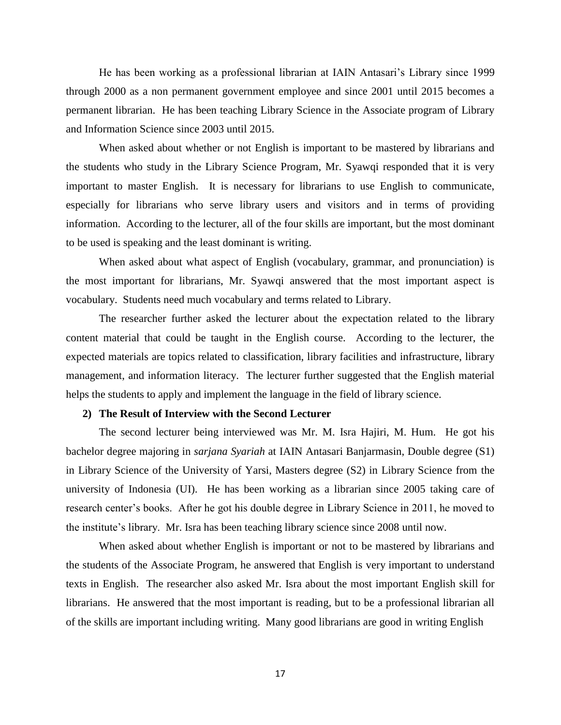He has been working as a professional librarian at IAIN Antasari"s Library since 1999 through 2000 as a non permanent government employee and since 2001 until 2015 becomes a permanent librarian. He has been teaching Library Science in the Associate program of Library and Information Science since 2003 until 2015.

When asked about whether or not English is important to be mastered by librarians and the students who study in the Library Science Program, Mr. Syawqi responded that it is very important to master English. It is necessary for librarians to use English to communicate, especially for librarians who serve library users and visitors and in terms of providing information. According to the lecturer, all of the four skills are important, but the most dominant to be used is speaking and the least dominant is writing.

When asked about what aspect of English (vocabulary, grammar, and pronunciation) is the most important for librarians, Mr. Syawqi answered that the most important aspect is vocabulary. Students need much vocabulary and terms related to Library.

The researcher further asked the lecturer about the expectation related to the library content material that could be taught in the English course. According to the lecturer, the expected materials are topics related to classification, library facilities and infrastructure, library management, and information literacy. The lecturer further suggested that the English material helps the students to apply and implement the language in the field of library science.

## **2) The Result of Interview with the Second Lecturer**

The second lecturer being interviewed was Mr. M. Isra Hajiri, M. Hum. He got his bachelor degree majoring in *sarjana Syariah* at IAIN Antasari Banjarmasin, Double degree (S1) in Library Science of the University of Yarsi, Masters degree (S2) in Library Science from the university of Indonesia (UI). He has been working as a librarian since 2005 taking care of research center's books. After he got his double degree in Library Science in 2011, he moved to the institute"s library. Mr. Isra has been teaching library science since 2008 until now.

When asked about whether English is important or not to be mastered by librarians and the students of the Associate Program, he answered that English is very important to understand texts in English. The researcher also asked Mr. Isra about the most important English skill for librarians. He answered that the most important is reading, but to be a professional librarian all of the skills are important including writing. Many good librarians are good in writing English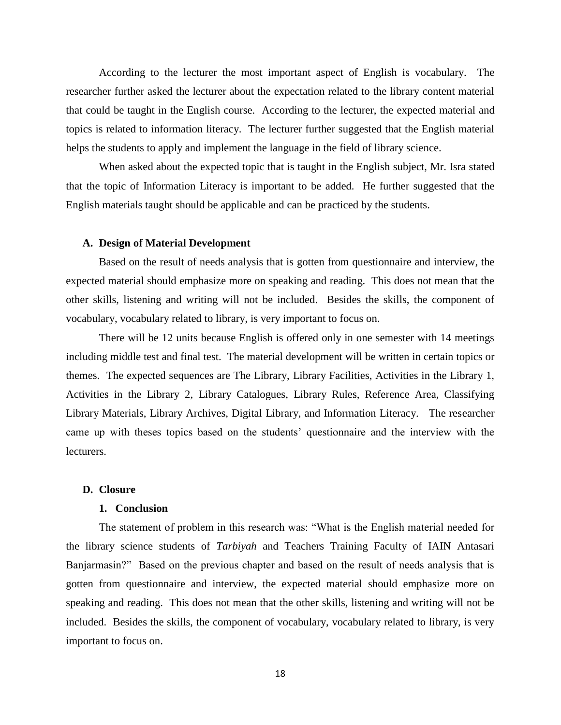According to the lecturer the most important aspect of English is vocabulary. The researcher further asked the lecturer about the expectation related to the library content material that could be taught in the English course. According to the lecturer, the expected material and topics is related to information literacy. The lecturer further suggested that the English material helps the students to apply and implement the language in the field of library science.

When asked about the expected topic that is taught in the English subject, Mr. Isra stated that the topic of Information Literacy is important to be added. He further suggested that the English materials taught should be applicable and can be practiced by the students.

#### **A. Design of Material Development**

Based on the result of needs analysis that is gotten from questionnaire and interview, the expected material should emphasize more on speaking and reading. This does not mean that the other skills, listening and writing will not be included. Besides the skills, the component of vocabulary, vocabulary related to library, is very important to focus on.

There will be 12 units because English is offered only in one semester with 14 meetings including middle test and final test. The material development will be written in certain topics or themes. The expected sequences are The Library, Library Facilities, Activities in the Library 1, Activities in the Library 2, Library Catalogues, Library Rules, Reference Area, Classifying Library Materials, Library Archives, Digital Library, and Information Literacy. The researcher came up with theses topics based on the students" questionnaire and the interview with the lecturers.

#### **D. Closure**

#### **1. Conclusion**

The statement of problem in this research was: "What is the English material needed for the library science students of *Tarbiyah* and Teachers Training Faculty of IAIN Antasari Banjarmasin?" Based on the previous chapter and based on the result of needs analysis that is gotten from questionnaire and interview, the expected material should emphasize more on speaking and reading. This does not mean that the other skills, listening and writing will not be included. Besides the skills, the component of vocabulary, vocabulary related to library, is very important to focus on.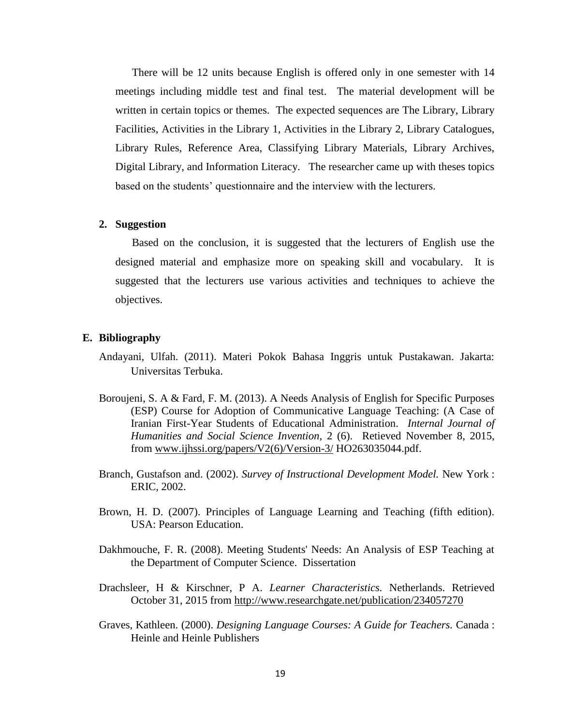There will be 12 units because English is offered only in one semester with 14 meetings including middle test and final test. The material development will be written in certain topics or themes. The expected sequences are The Library, Library Facilities, Activities in the Library 1, Activities in the Library 2, Library Catalogues, Library Rules, Reference Area, Classifying Library Materials, Library Archives, Digital Library, and Information Literacy. The researcher came up with theses topics based on the students" questionnaire and the interview with the lecturers.

#### **2. Suggestion**

Based on the conclusion, it is suggested that the lecturers of English use the designed material and emphasize more on speaking skill and vocabulary. It is suggested that the lecturers use various activities and techniques to achieve the objectives.

#### **E. Bibliography**

- Andayani, Ulfah. (2011). Materi Pokok Bahasa Inggris untuk Pustakawan. Jakarta: Universitas Terbuka.
- Boroujeni, S. A & Fard, F. M. (2013). A Needs Analysis of English for Specific Purposes (ESP) Course for Adoption of Communicative Language Teaching: (A Case of Iranian First-Year Students of Educational Administration. *Internal Journal of Humanities and Social Science Invention*, 2 (6). Retieved November 8, 2015, from [www.ijhssi.org/papers/V2\(6\)/Version-3/](http://www.ijhssi.org/papers/V2(6)/Version-3/) HO263035044.pdf.
- Branch, Gustafson and. (2002). *Survey of Instructional Development Model.* New York : ERIC, 2002.
- Brown, H. D. (2007). Principles of Language Learning and Teaching (fifth edition). USA: Pearson Education.
- Dakhmouche, F. R. (2008). Meeting Students' Needs: An Analysis of ESP Teaching at the Department of Computer Science. Dissertation
- Drachsleer, H & Kirschner, P A. *Learner Characteristics.* Netherlands. Retrieved October 31, 2015 from<http://www.researchgate.net/publication/234057270>
- Graves, Kathleen. (2000). *Designing Language Courses: A Guide for Teachers.* Canada : Heinle and Heinle Publishers